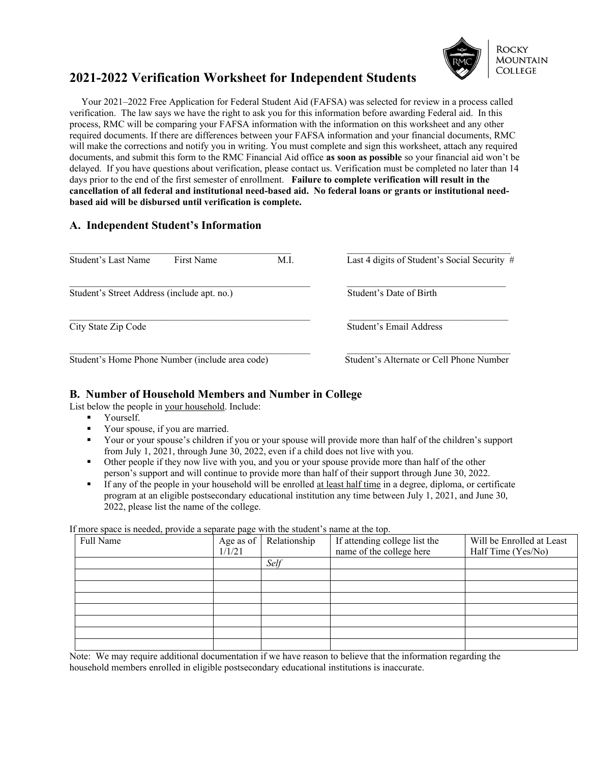

# **2021-2022 Verification Worksheet for Independent Students**

 Your 2021–2022 Free Application for Federal Student Aid (FAFSA) was selected for review in a process called verification. The law says we have the right to ask you for this information before awarding Federal aid. In this process, RMC will be comparing your FAFSA information with the information on this worksheet and any other required documents. If there are differences between your FAFSA information and your financial documents, RMC will make the corrections and notify you in writing. You must complete and sign this worksheet, attach any required documents, and submit this form to the RMC Financial Aid office **as soon as possible** so your financial aid won't be delayed. If you have questions about verification, please contact us. Verification must be completed no later than 14 days prior to the end of the first semester of enrollment. **Failure to complete verification will result in the cancellation of all federal and institutional need-based aid. No federal loans or grants or institutional needbased aid will be disbursed until verification is complete.**

## **A. Independent Student's Information**

| Student's Last Name<br>First Name               | M.L                                      | Last 4 digits of Student's Social Security # |
|-------------------------------------------------|------------------------------------------|----------------------------------------------|
| Student's Street Address (include apt. no.)     | Student's Date of Birth                  |                                              |
| City State Zip Code                             | Student's Email Address                  |                                              |
| Student's Home Phone Number (include area code) | Student's Alternate or Cell Phone Number |                                              |

# **B. Number of Household Members and Number in College**

List below the people in your household. Include:

- Yourself.
- Your spouse, if you are married.<br>Vour or your spouse's children is
- Your or your spouse's children if you or your spouse will provide more than half of the children's support from July 1, 2021, through June 30, 2022, even if a child does not live with you.
- Other people if they now live with you, and you or your spouse provide more than half of the other person's support and will continue to provide more than half of their support through June 30, 2022.
- If any of the people in your household will be enrolled at least half time in a degree, diploma, or certificate program at an eligible postsecondary educational institution any time between July 1, 2021, and June 30, 2022, please list the name of the college.

If more space is needed, provide a separate page with the student's name at the top.

| Full Name | Age as of<br>1/1/21 | Relationship | If attending college list the<br>name of the college here | Will be Enrolled at Least<br>Half Time (Yes/No) |
|-----------|---------------------|--------------|-----------------------------------------------------------|-------------------------------------------------|
|           |                     | Self         |                                                           |                                                 |
|           |                     |              |                                                           |                                                 |
|           |                     |              |                                                           |                                                 |
|           |                     |              |                                                           |                                                 |
|           |                     |              |                                                           |                                                 |
|           |                     |              |                                                           |                                                 |
|           |                     |              |                                                           |                                                 |
|           |                     |              |                                                           |                                                 |

Note: We may require additional documentation if we have reason to believe that the information regarding the household members enrolled in eligible postsecondary educational institutions is inaccurate.